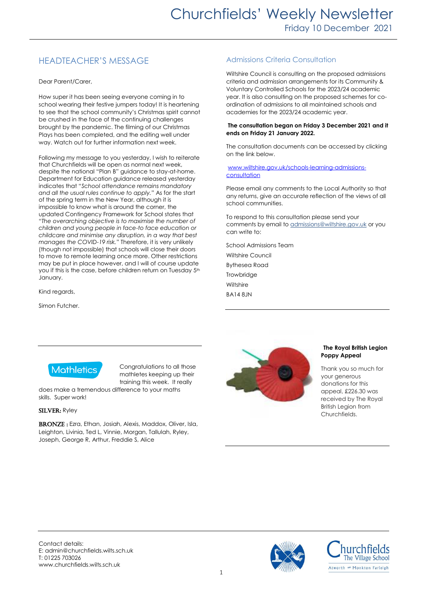# HEADTEACHER'S MESSAGE

Dear Parent/Carer,

How super it has been seeing everyone coming in to school wearing their festive jumpers today! It is heartening to see that the school community's Christmas spirit cannot be crushed in the face of the continuing challenges brought by the pandemic. The filming of our Christmas Plays has been completed, and the editing well under way. Watch out for further information next week.

Following my message to you yesterday, I wish to reiterate that Churchfields will be open as normal next week, despite the national "Plan B" guidance to stay-at-home. Department for Education guidance released yesterday indicates that "*School attendance remains mandatory and all the usual rules continue to apply.*" As for the start of the spring term in the New Year, although it is impossible to know what is around the corner, the updated Contingency Framework for School states that "*The overarching objective is to maximise the number of children and young people in face-to face education or childcare and minimise any disruption, in a way that best manages the COVID-19 risk.*" Therefore, it is very unlikely (though not impossible) that schools will close their doors to move to remote learning once more. Other restrictions may be put in place however, and I will of course update you if this is the case, before children return on Tuesday 5th January.

Kind regards,

Simon Futcher.

# Admissions Criteria Consultation

Wiltshire Council is consulting on the proposed admissions criteria and admission arrangements for its Community & Voluntary Controlled Schools for the 2023/24 academic year. It is also consulting on the proposed schemes for coordination of admissions to all maintained schools and academies for the 2023/24 academic year.

#### **The consultation began on Friday 3 December 2021 and it ends on Friday 21 January 2022.**

The consultation documents can be accessed by clicking on the link below.

#### [www.wiltshire.gov.uk/schools-learning-admissions](https://eur02.safelinks.protection.outlook.com/?url=http%3A%2F%2Fwww.wiltshire.gov.uk%2Fschools-learning-admissions-consultation&data=04%7C01%7CDebbie.Clare%40wiltshire.gov.uk%7Cbb107c446a01497f6dab08d9b4e3d303%7C5546e75e3be14813b0ff26651ea2fe19%7C0%7C0%7C637739712845606207%7CUnknown%7CTWFpbGZsb3d8eyJWIjoiMC4wLjAwMDAiLCJQIjoiV2luMzIiLCJBTiI6Ik1haWwiLCJXVCI6Mn0%3D%7C3000&sdata=e7ix5DgI7oaqNET2VTRd%2BsUkce3hc0xA2z0h4%2FKl7QY%3D&reserved=0)**[consultation](https://eur02.safelinks.protection.outlook.com/?url=http%3A%2F%2Fwww.wiltshire.gov.uk%2Fschools-learning-admissions-consultation&data=04%7C01%7CDebbie.Clare%40wiltshire.gov.uk%7Cbb107c446a01497f6dab08d9b4e3d303%7C5546e75e3be14813b0ff26651ea2fe19%7C0%7C0%7C637739712845606207%7CUnknown%7CTWFpbGZsb3d8eyJWIjoiMC4wLjAwMDAiLCJQIjoiV2luMzIiLCJBTiI6Ik1haWwiLCJXVCI6Mn0%3D%7C3000&sdata=e7ix5DgI7oaqNET2VTRd%2BsUkce3hc0xA2z0h4%2FKl7QY%3D&reserved=0)**

Please email any comments to the Local Authority so that any returns, give an accurate reflection of the views of all school communities.

To respond to this consultation please send your comments by email t[o admissions@wiltshire.gov.uk](mailto:admissions@wiltshire.gov.uk) or you can write to:

School Admissions Team Wiltshire Council

Bythesea Road **Trowbridge Wiltshire** BA14 8JN



Congratulations to all those mathletes keeping up their training this week. It really

does make a tremendous difference to your maths skills. Super work!

## SILVER: Ryley

BRONZE: Ezra, Ethan, Josiah, Alexis, Maddox, Oliver, Isla, Leighton, Livinia, Ted L, Vinnie, Morgan, Tallulah, Ryley, Joseph, George R, Arthur, Freddie S, Alice



# **The Royal British Legion Poppy Appeal**

Thank you so much for your generous donations for this appeal, £226.30 was received by The Royal British Legion from Churchfields.



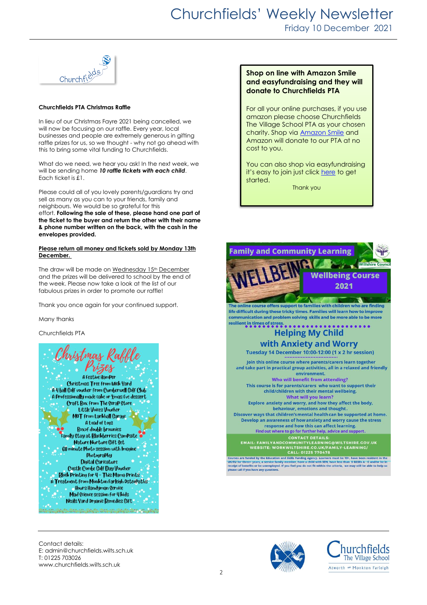

#### **Churchfields PTA Christmas Raffle**

In lieu of our Christmas Fayre 2021 being cancelled, we will now be focusing on our raffle. Every year, local businesses and people are extremely generous in gifting raffle prizes for us, so we thought - why not go ahead with this to bring some vital funding to Churchfields.

What do we need, we hear you ask! In the next week, we will be sending home *10 raffle tickets with each child*. Each ticket is £1.

Please could all of you lovely parents/guardians try and sell as many as you can to your friends, family and neighbours. We would be so grateful for this effort. **Following the sale of these, please hand one part of the ticket to the buyer and return the other with their name & phone number written on the back, with the cash in the envelopes provided.** 

### **Please return all money and tickets sold by Monday 13th December.**

The draw will be made on Wednesday 15<sup>th</sup> December and the prizes will be delivered to school by the end of the week. Please now take a look at the list of our fabulous prizes in order to promote our raffle!

Thank you once again for your continued support.

Many thanks

Churchfields PTA



# **Shop on line with Amazon Smile and easyfundraising and they will donate to Churchfields PTA**

For all your online purchases, if you use amazon please choose Churchfields The Village School PTA as your chosen charity. Shop via [Amazon](https://smile.amazon.co.uk/gp/chpf/homepage?orig=%2F) Smile and Amazon will donate to our PTA at no cost to you.

You can also shop via easyfundraising it's easy to join just clic[k here](https://www.easyfundraising.org.uk/causes/churchfieldspta/?q=Churchfield&cat=cause-autosuggest) to get started. Thank you



Contact details: E: admin@churchfields.wilts.sch.uk T: 01225 703026 www.churchfields.wilts.sch.uk